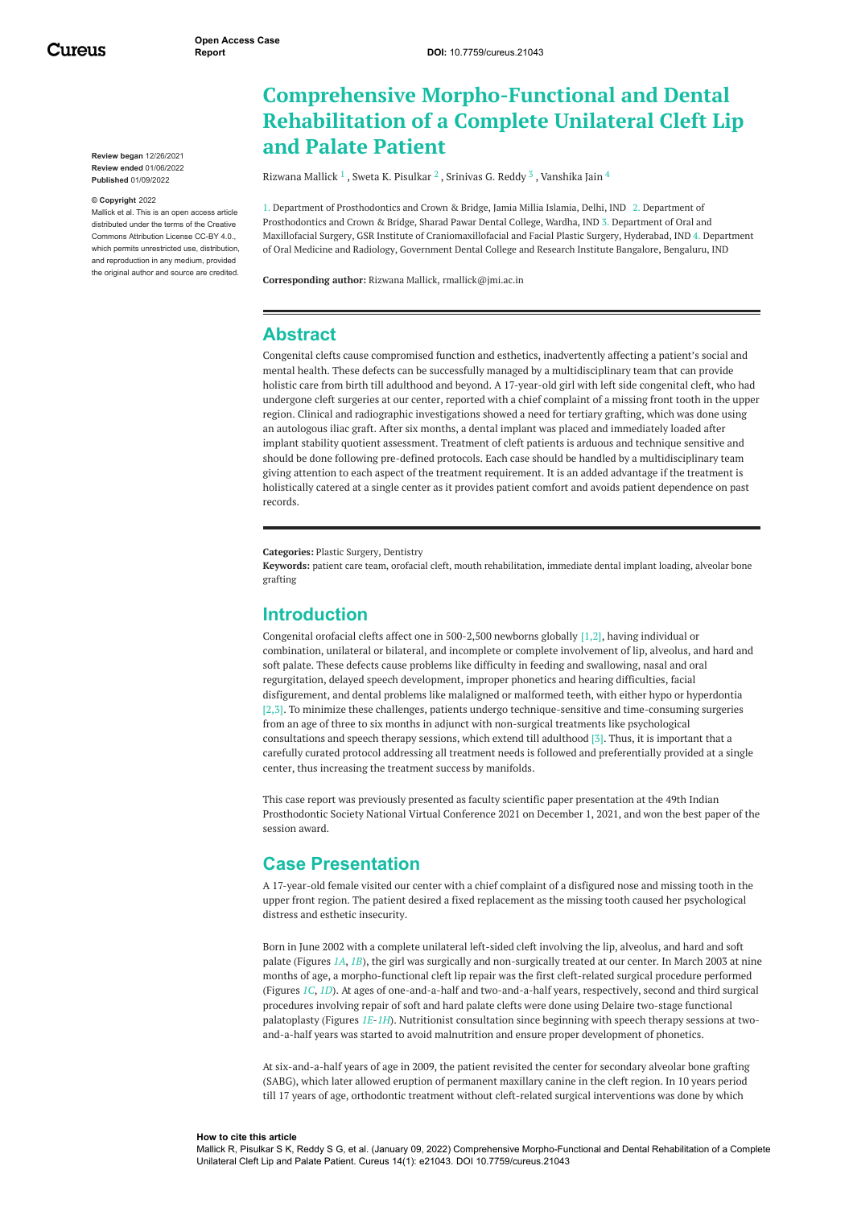Cureus

**Review began** 12/26/2021 **Review ended** 01/06/2022 **Published** 01/09/2022

#### **© Copyright** 2022

Mallick et al. This is an open access article distributed under the terms of the Creative Commons Attribution License CC-BY 4.0., which permits unrestricted use, distribution, and reproduction in any medium, provided the original author and source are credited.

# **Comprehensive Morpho-Functional and Dental Rehabilitation of a Complete Unilateral Cleft Lip and Palate Patient**

[Rizwana](https://www.cureus.com/users/316706-rizwana-mallick) Mallick  $^1$  , Sweta K. [Pisulkar](https://www.cureus.com/users/316738-dr-sweta-g-pisulkar)  $^2$  , [Srinivas](https://www.cureus.com/users/316740-srinivas-reddy) G. Reddy  $^3$  , [Vanshika](https://www.cureus.com/users/316741-vanshika-jain) Jain  $^4$ 

1. Department of Prosthodontics and Crown & Bridge, Jamia Millia Islamia, Delhi, IND 2. Department of Prosthodontics and Crown & Bridge, Sharad Pawar Dental College, Wardha, IND 3. Department of Oral and Maxillofacial Surgery, GSR Institute of Craniomaxillofacial and Facial Plastic Surgery, Hyderabad, IND 4. Department of Oral Medicine and Radiology, Government Dental College and Research Institute Bangalore, Bengaluru, IND

**Corresponding author:** Rizwana Mallick, rmallick@jmi.ac.in

#### **Abstract**

Congenital clefts cause compromised function and esthetics, inadvertently affecting a patient's social and mental health. These defects can be successfully managed by a multidisciplinary team that can provide holistic care from birth till adulthood and beyond. A 17-year-old girl with left side congenital cleft, who had undergone cleft surgeries at our center, reported with a chief complaint of a missing front tooth in the upper region. Clinical and radiographic investigations showed a need for tertiary grafting, which was done using an autologous iliac graft. After six months, a dental implant was placed and immediately loaded after implant stability quotient assessment. Treatment of cleft patients is arduous and technique sensitive and should be done following pre-defined protocols. Each case should be handled by a multidisciplinary team giving attention to each aspect of the treatment requirement. It is an added advantage if the treatment is holistically catered at a single center as it provides patient comfort and avoids patient dependence on past records.

**Categories:** Plastic Surgery, Dentistry

**Keywords:** patient care team, orofacial cleft, mouth rehabilitation, immediate dental implant loading, alveolar bone grafting

#### **Introduction**

Congenital orofacial clefts affect one in 500-2,500 newborns globally [1,2], having individual or combination, unilateral or bilateral, and incomplete or complete involvement of lip, alveolus, and hard and soft palate. These defects cause problems like difficulty in feeding and swallowing, nasal and oral regurgitation, delayed speech development, improper phonetics and hearing difficulties, facial disfigurement, and dental problems like malaligned or malformed teeth, with either hypo or hyperdontia [2,3]. To minimize these challenges, patients undergo technique-sensitive and time-consuming surgeries from an age of three to six months in adjunct with non-surgical treatments like psychological consultations and speech therapy sessions, which extend till adulthood [3]. Thus, it is important that a carefully curated protocol addressing all treatment needs is followed and preferentially provided at a single center, thus increasing the treatment success by manifolds.

This case report was previously presented as faculty scientific paper presentation at the 49th Indian Prosthodontic Society National Virtual Conference 2021 on December 1, 2021, and won the best paper of the session award.

### **Case Presentation**

A 17-year-old female visited our center with a chief complaint of a disfigured nose and missing tooth in the upper front region. The patient desired a fixed replacement as the missing tooth caused her psychological distress and esthetic insecurity.

Born in June 2002 with a complete unilateral left-sided cleft involving the lip, alveolus, and hard and soft palate (Figures *[1A](#page-1-0)*, *[1B](#page-1-0)*), the girl was surgically and non-surgically treated at our center. In March 2003 at nine months of age, a morpho-functional cleft lip repair was the first cleft-related surgical procedure performed (Figures *[1C](#page-1-0)*, *[1D](#page-1-0)*). At ages of one-and-a-half and two-and-a-half years, respectively, second and third surgical procedures involving repair of soft and hard palate clefts were done using Delaire two-stage functional palatoplasty (Figures *[1E](#page-1-0)*-*[1H](#page-1-0)*). Nutritionist consultation since beginning with speech therapy sessions at twoand-a-half years was started to avoid malnutrition and ensure proper development of phonetics.

At six-and-a-half years of age in 2009, the patient revisited the center for secondary alveolar bone grafting (SABG), which later allowed eruption of permanent maxillary canine in the cleft region. In 10 years period till 17 years of age, orthodontic treatment without cleft-related surgical interventions was done by which

#### **How to cite this article**

Mallick R, Pisulkar S K, Reddy S G, et al. (January 09, 2022) Comprehensive Morpho-Functional and Dental Rehabilitation of a Complete Unilateral Cleft Lip and Palate Patient. Cureus 14(1): e21043. DOI 10.7759/cureus.21043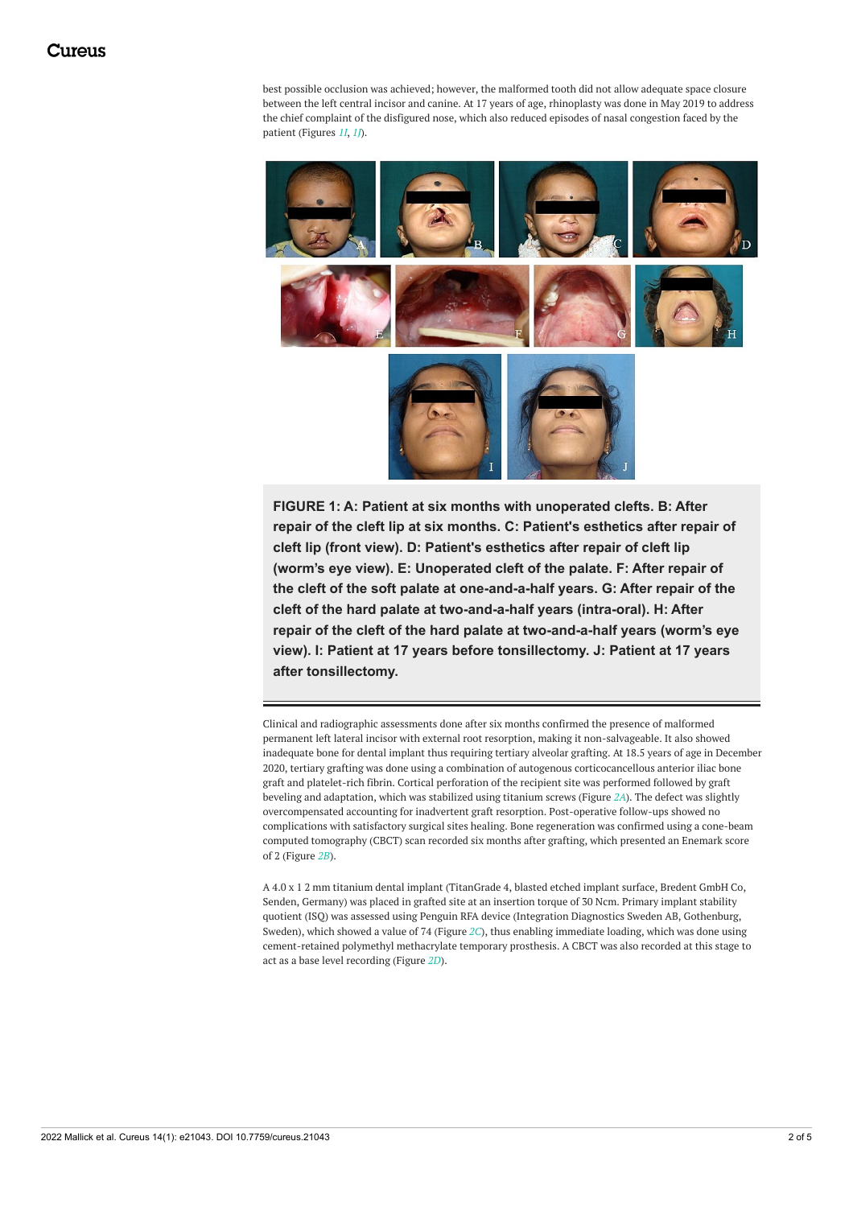best possible occlusion was achieved; however, the malformed tooth did not allow adequate space closure between the left central incisor and canine. At 17 years of age, rhinoplasty was done in May 2019 to address the chief complaint of the disfigured nose, which also reduced episodes of nasal congestion faced by the patient (Figures *[1I](#page-1-0)*, *[1J](#page-1-0)*).

<span id="page-1-0"></span>

**FIGURE 1: A: Patient at six months with unoperated clefts. B: After repair of the cleft lip at six months. C: Patient's esthetics after repair of cleft lip (front view). D: Patient's esthetics after repair of cleft lip (worm's eye view). E: Unoperated cleft of the palate. F: After repair of the cleft of the soft palate at one-and-a-half years. G: After repair of the cleft of the hard palate at two-and-a-half years (intra-oral). H: After repair of the cleft of the hard palate at two-and-a-half years (worm's eye view). I: Patient at 17 years before tonsillectomy. J: Patient at 17 years after tonsillectomy.**

Clinical and radiographic assessments done after six months confirmed the presence of malformed permanent left lateral incisor with external root resorption, making it non-salvageable. It also showed inadequate bone for dental implant thus requiring tertiary alveolar grafting. At 18.5 years of age in December 2020, tertiary grafting was done using a combination of autogenous corticocancellous anterior iliac bone graft and platelet-rich fibrin. Cortical perforation of the recipient site was performed followed by graft beveling and adaptation, which was stabilized using titanium screws (Figure *[2A](#page-2-0)*). The defect was slightly overcompensated accounting for inadvertent graft resorption. Post-operative follow-ups showed no complications with satisfactory surgical sites healing. Bone regeneration was confirmed using a cone-beam computed tomography (CBCT) scan recorded six months after grafting, which presented an Enemark score of 2 (Figure *[2B](#page-2-0)*).

A 4.0 x 1 2 mm titanium dental implant (TitanGrade 4, blasted etched implant surface, Bredent GmbH Co, Senden, Germany) was placed in grafted site at an insertion torque of 30 Ncm. Primary implant stability quotient (ISQ) was assessed using Penguin RFA device (Integration Diagnostics Sweden AB, Gothenburg, Sweden), which showed a value of 74 (Figure *[2C](#page-2-0)*), thus enabling immediate loading, which was done using cement-retained polymethyl methacrylate temporary prosthesis. A CBCT was also recorded at this stage to act as a base level recording (Figure *[2D](#page-2-0)*).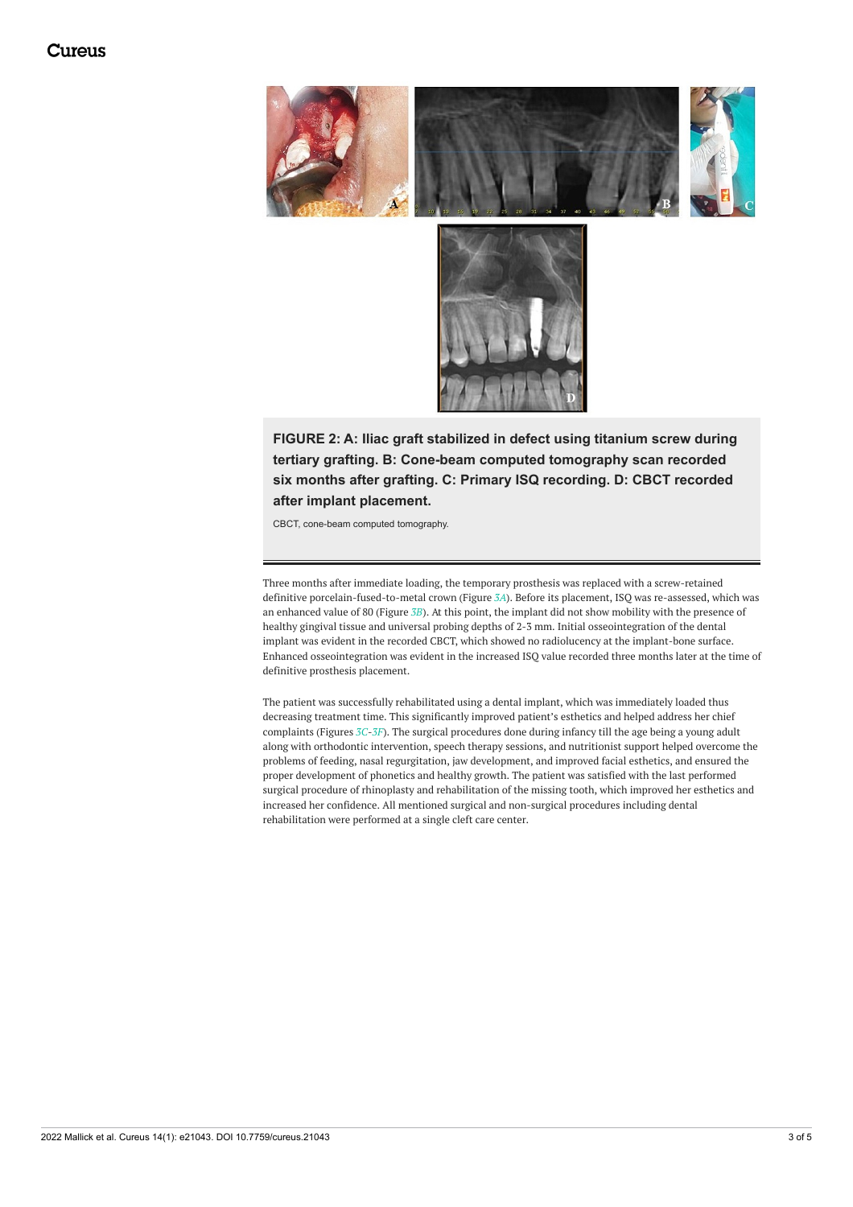## Cureus

<span id="page-2-0"></span>



**FIGURE 2: A: Iliac graft stabilized in defect using titanium screw during tertiary grafting. B: Cone-beam computed tomography scan recorded six months after grafting. C: Primary ISQ recording. D: CBCT recorded after implant placement.**

CBCT, cone-beam computed tomography.

Three months after immediate loading, the temporary prosthesis was replaced with a screw-retained definitive porcelain-fused-to-metal crown (Figure *[3A](#page-3-0)*). Before its placement, ISQ was re-assessed, which was an enhanced value of 80 (Figure *[3B](#page-3-0)*). At this point, the implant did not show mobility with the presence of healthy gingival tissue and universal probing depths of 2-3 mm. Initial osseointegration of the dental implant was evident in the recorded CBCT, which showed no radiolucency at the implant-bone surface. Enhanced osseointegration was evident in the increased ISQ value recorded three months later at the time of definitive prosthesis placement.

The patient was successfully rehabilitated using a dental implant, which was immediately loaded thus decreasing treatment time. This significantly improved patient's esthetics and helped address her chief complaints (Figures *[3C](#page-3-0)*-*[3F](#page-3-0)*). The surgical procedures done during infancy till the age being a young adult along with orthodontic intervention, speech therapy sessions, and nutritionist support helped overcome the problems of feeding, nasal regurgitation, jaw development, and improved facial esthetics, and ensured the proper development of phonetics and healthy growth. The patient was satisfied with the last performed surgical procedure of rhinoplasty and rehabilitation of the missing tooth, which improved her esthetics and increased her confidence. All mentioned surgical and non-surgical procedures including dental rehabilitation were performed at a single cleft care center.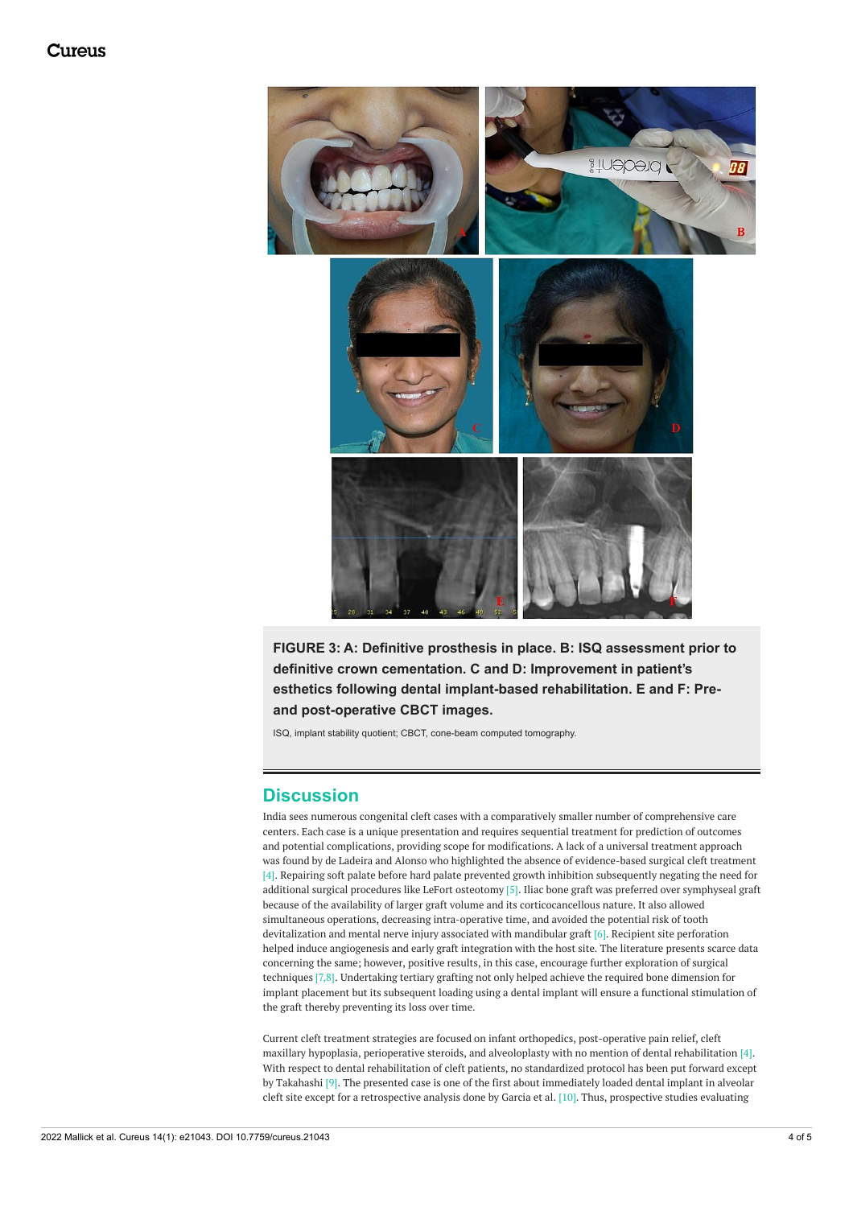### Cureus

<span id="page-3-0"></span>

**FIGURE 3: A: Definitive prosthesis in place. B: ISQ assessment prior to definitive crown cementation. C and D: Improvement in patient's esthetics following dental implant-based rehabilitation. E and F: Preand post-operative CBCT images.**

ISQ, implant stability quotient; CBCT, cone-beam computed tomography.

### **Discussion**

India sees numerous congenital cleft cases with a comparatively smaller number of comprehensive care centers. Each case is a unique presentation and requires sequential treatment for prediction of outcomes and potential complications, providing scope for modifications. A lack of a universal treatment approach was found by de Ladeira and Alonso who highlighted the absence of evidence-based surgical cleft treatment [4]. Repairing soft palate before hard palate prevented growth inhibition subsequently negating the need for additional surgical procedures like LeFort osteotomy [5]. Iliac bone graft was preferred over symphyseal graft because of the availability of larger graft volume and its corticocancellous nature. It also allowed simultaneous operations, decreasing intra-operative time, and avoided the potential risk of tooth devitalization and mental nerve injury associated with mandibular graft [6]. Recipient site perforation helped induce angiogenesis and early graft integration with the host site. The literature presents scarce data concerning the same; however, positive results, in this case, encourage further exploration of surgical techniques [7,8]. Undertaking tertiary grafting not only helped achieve the required bone dimension for implant placement but its subsequent loading using a dental implant will ensure a functional stimulation of the graft thereby preventing its loss over time.

Current cleft treatment strategies are focused on infant orthopedics, post-operative pain relief, cleft maxillary hypoplasia, perioperative steroids, and alveoloplasty with no mention of dental rehabilitation [4]. With respect to dental rehabilitation of cleft patients, no standardized protocol has been put forward except by Takahashi [9]. The presented case is one of the first about immediately loaded dental implant in alveolar cleft site except for a retrospective analysis done by Garcia et al. [10]. Thus, prospective studies evaluating